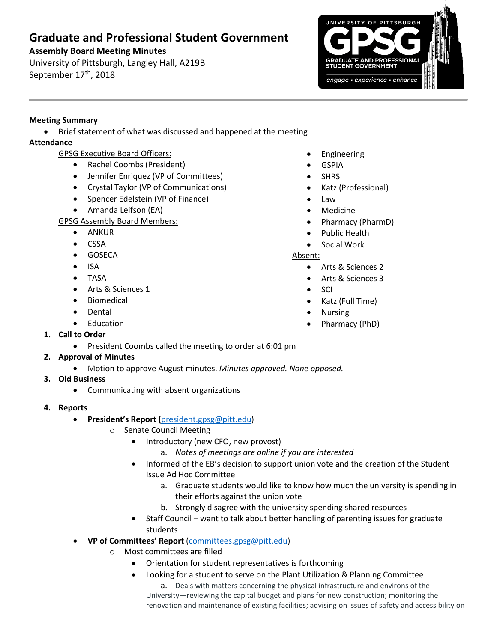# **Graduate and Professional Student Government**

## **Assembly Board Meeting Minutes**

University of Pittsburgh, Langley Hall, A219B September 17<sup>th</sup>, 2018



### **Meeting Summary**

• Brief statement of what was discussed and happened at the meeting

# **Attendance**

- GPSG Executive Board Officers:
	- Rachel Coombs (President)
	- Jennifer Enriquez (VP of Committees)
	- Crystal Taylor (VP of Communications)
	- Spencer Edelstein (VP of Finance)
	- Amanda Leifson (EA)

GPSG Assembly Board Members:

- ANKUR
- CSSA
- **•** GOSECA
- $\bullet$  ISA
- TASA
- Arts & Sciences 1
- Biomedical
- Dental
- Education
- **1. Call to Order**
	- President Coombs called the meeting to order at 6:01 pm

# **2. Approval of Minutes**

- Motion to approve August minutes. *Minutes approved. None opposed.*
- **3. Old Business**
	- Communicating with absent organizations
- **4. Reports** 
	- **President's Report (**[president.gpsg@pitt.edu\)](mailto:president.gpsg@pitt.edu)
		- o Senate Council Meeting
			- Introductory (new CFO, new provost)
				- a. *Notes of meetings are online if you are interested*
			- Informed of the EB's decision to support union vote and the creation of the Student Issue Ad Hoc Committee
				- a. Graduate students would like to know how much the university is spending in their efforts against the union vote
				- b. Strongly disagree with the university spending shared resources
			- Staff Council want to talk about better handling of parenting issues for graduate students
	- **VP of Committees' Report** [\(committees.gpsg@pitt.edu\)](mailto:committees.gpsg@pitt.edu)
		- o Most committees are filled
			- Orientation for student representatives is forthcoming
			- Looking for a student to serve on the Plant Utilization & Planning Committee

a. Deals with matters concerning the physical infrastructure and environs of the University—reviewing the capital budget and plans for new construction; monitoring the renovation and maintenance of existing facilities; advising on issues of safety and accessibility on

- Engineering
- GSPIA
- SHRS
- Katz (Professional)
- Law
	- Medicine
- Pharmacy (PharmD)
- Public Health
- Social Work

#### Absent:

- Arts & Sciences 2
- Arts & Sciences 3
- SCI
- Katz (Full Time)
- Nursing
- Pharmacy (PhD)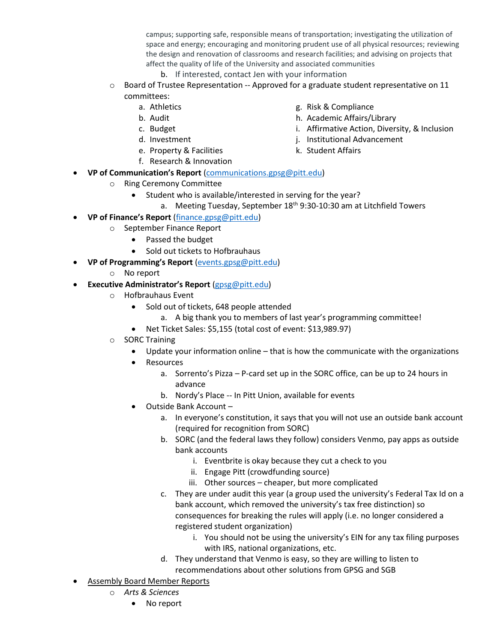campus; supporting safe, responsible means of transportation; investigating the utilization of space and energy; encouraging and monitoring prudent use of all physical resources; reviewing the design and renovation of classrooms and research facilities; and advising on projects that affect the quality of life of the University and associated communities

- b. If interested, contact Jen with your information
- $\circ$  Board of Trustee Representation -- Approved for a graduate student representative on 11 committees:
	- a. Athletics
	- b. Audit
	- c. Budget
	- d. Investment
	- e. Property & Facilities
	- f. Research & Innovation
- **VP of Communication's Report** [\(communications.gpsg@pitt.edu\)](mailto:communications.gpsg@pitt.edu)
	- o Ring Ceremony Committee
		- Student who is available/interested in serving for the year?
			- a. Meeting Tuesday, September  $18<sup>th</sup>$  9:30-10:30 am at Litchfield Towers
- **VP of Finance's Report** [\(finance.gpsg@pitt.edu\)](mailto:finance.gpsg@pitt.edu)
	- o September Finance Report
		- Passed the budget
		- Sold out tickets to Hofbrauhaus
- **VP of Programming's Report** [\(events.gpsg@pitt.edu\)](mailto:events.gpsg@pitt.edu)
	- o No report
- **Executive Administrator's Report** [\(gpsg@pitt.edu\)](mailto:gpsg@pitt.edu)
	- o Hofbrauhaus Event
		- Sold out of tickets, 648 people attended
			- a. A big thank you to members of last year's programming committee!
		- Net Ticket Sales: \$5,155 (total cost of event: \$13,989.97)
	- o SORC Training
		- Update your information online that is how the communicate with the organizations
		- Resources
			- a. Sorrento's Pizza P-card set up in the SORC office, can be up to 24 hours in advance
			- b. Nordy's Place -- In Pitt Union, available for events
		- Outside Bank Account
			- a. In everyone's constitution, it says that you will not use an outside bank account (required for recognition from SORC)
			- b. SORC (and the federal laws they follow) considers Venmo, pay apps as outside bank accounts
				- i. Eventbrite is okay because they cut a check to you
				- ii. Engage Pitt (crowdfunding source)
				- iii. Other sources cheaper, but more complicated
			- c. They are under audit this year (a group used the university's Federal Tax Id on a bank account, which removed the university's tax free distinction) so consequences for breaking the rules will apply (i.e. no longer considered a registered student organization)
				- i. You should not be using the university's EIN for any tax filing purposes with IRS, national organizations, etc.
			- d. They understand that Venmo is easy, so they are willing to listen to recommendations about other solutions from GPSG and SGB
- **Assembly Board Member Reports** 
	- o *Arts & Sciences*
		- No report
- g. Risk & Compliance
- h. Academic Affairs/Library
- i. Affirmative Action, Diversity, & Inclusion
- j. Institutional Advancement
- k. Student Affairs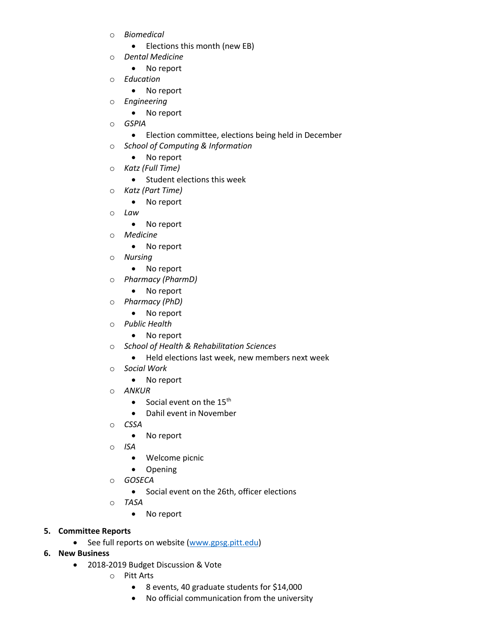- o *Biomedical*
	- Elections this month (new EB)
- o *Dental Medicine*
	- No report
- o *Education*
	- No report
- o *Engineering*
	- No report
- o *GSPIA*
	- Election committee, elections being held in December
- o *School of Computing & Information*
	- No report
- o *Katz (Full Time)*
	- Student elections this week
- o *Katz (Part Time)*
	- No report
- o *Law*
	- No report
- o *Medicine*
	- No report
- o *Nursing* 
	- No report
- o *Pharmacy (PharmD)*
	- No report
- o *Pharmacy (PhD)*
	- No report
- o *Public Health*
	- No report
- o *School of Health & Rehabilitation Sciences*
	- Held elections last week, new members next week
- o *Social Work*
	- No report
- o *ANKUR* 
	- Social event on the  $15<sup>th</sup>$
	- Dahil event in November
- o *CSSA* 
	- No report
- o *ISA* 
	- Welcome picnic
	- Opening
- o *GOSECA*
	- Social event on the 26th, officer elections
- o *TASA*
	- No report
- **5. Committee Reports**
	- See full reports on website [\(www.gpsg.pitt.edu\)](http://www.gpsg.pitt.edu/)
- **6. New Business**
	- 2018-2019 Budget Discussion & Vote
		- o Pitt Arts
			- 8 events, 40 graduate students for \$14,000
			- No official communication from the university